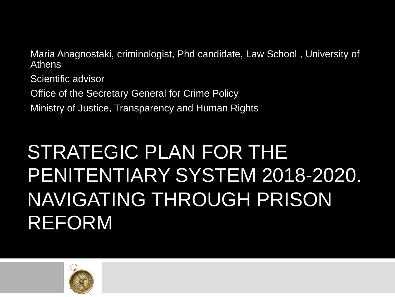Maria Anagnostaki, criminologist, Phd candidate, Law School , University of Athens

Scientific advisor

Office of the Secretary General for Crime Policy

Ministry of Justice, Transparency and Human Rights

### STRATEGIC PLAN FOR THE PENITENTIARY SYSTEM 2018-2020. NAVIGATING THROUGH PRISON REFORM

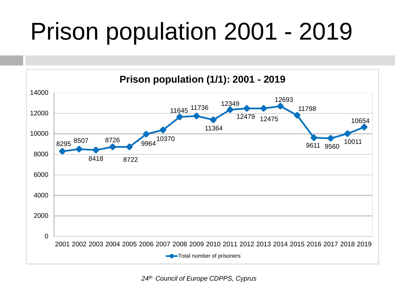## Prison population 2001 - 2019



*th Council of Europe CDPPS, Cyprus*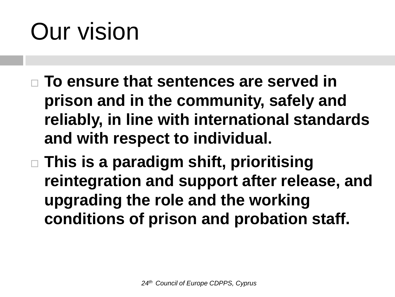## Our vision

- **To ensure that sentences are served in prison and in the community, safely and reliably, in line with international standards and with respect to individual.**
- **This is a paradigm shift, prioritising reintegration and support after release, and upgrading the role and the working conditions of prison and probation staff.**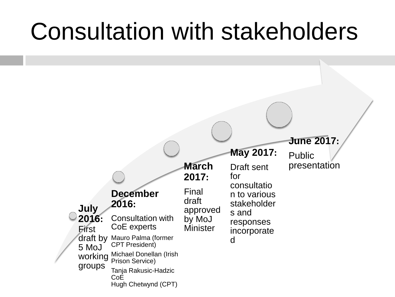### Consultation with stakeholders

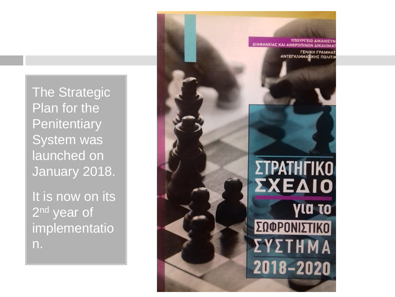The Strategic Plan for the **Penitentiary** System was launched on January 2018.

It is now on its 2<sup>nd</sup> year of implementatio n.

ΔΙΑΦΑΝΕΙΑΣ ΚΑΙ ΑΝΘΡΩΠΙ

*FENIKH FPAMM* **ΑΝΤΕΓΚΛΗΜΑΤΙΚΗΣ ΠΟΛΙΤ**Ι



ΣΥΣΤΗΜΑ 2018-2020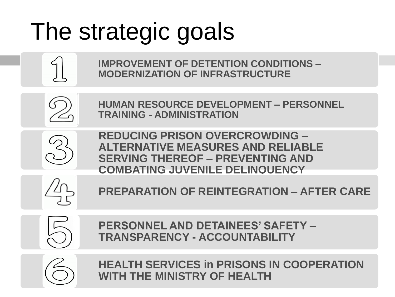## The strategic goals



**IMPROVEMENT OF DETENTION CONDITIONS – MODERNIZATION OF INFRASTRUCTURE**



**HUMAN RESOURCE DEVELOPMENT – PERSONNEL TRAINING - ADMINISTRATION**



**REDUCING PRISON OVERCROWDING – ALTERNATIVE MEASURES AND RELIABLE SERVING THEREOF – PREVENTING AND COMBATING JUVENILE DELINQUENCY**



**PREPARATION OF REINTEGRATION – AFTER CARE**



**PERSONNEL AND DETAINEES' SAFETY – TRANSPARENCY - ACCOUNTABILITY**



**HEALTH SERVICES in PRISONS IN COOPERATION WITH THE MINISTRY OF HEALTH**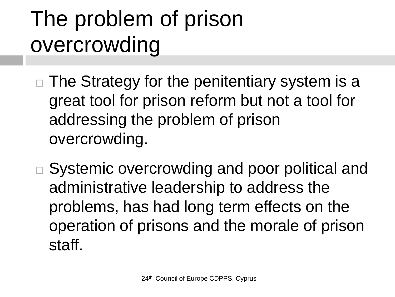### The problem of prison overcrowding

- $\Box$  The Strategy for the penitentiary system is a great tool for prison reform but not a tool for addressing the problem of prison overcrowding.
- □ Systemic overcrowding and poor political and administrative leadership to address the problems, has had long term effects on the operation of prisons and the morale of prison staff.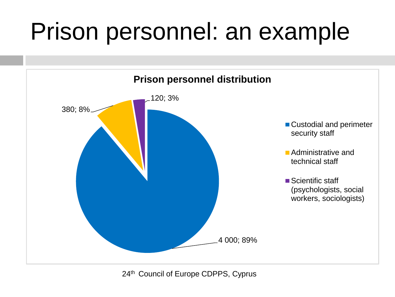## Prison personnel: an example

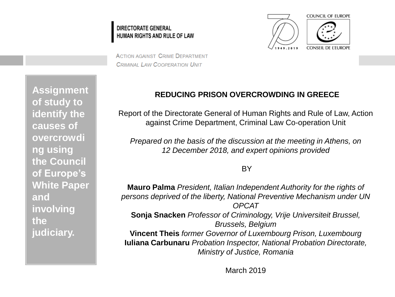#### **DIRECTORATE GENERAL** HUMAN RIGHTS AND RULE OF LAW



**ACTION AGAINST CRIME DEPARTMENT CRIMINAL LAW COOPERATION UNIT** 

**Assignment of study to identify the causes of overcrowdi ng using the Council of Europe's White Paper and involving the judiciary.**

#### **REDUCING PRISON OVERCROWDING IN GREECE**

Report of the Directorate General of Human Rights and Rule of Law, Action against Crime Department, Criminal Law Co-operation Unit

*Prepared on the basis of the discussion at the meeting in Athens, on 12 December 2018, and expert opinions provided* 

**BY** 

**Mauro Palma** *President, Italian Independent Authority for the rights of persons deprived of the liberty, National Preventive Mechanism under UN OPCAT*  **Sonja Snacken** *Professor of Criminology, Vrije Universiteit Brussel, Brussels, Belgium*  **Vincent Theis** *former Governor of Luxembourg Prison, Luxembourg*  **Iuliana Carbunaru** *Probation Inspector, National Probation Directorate, Ministry of Justice, Romania* 

March 2019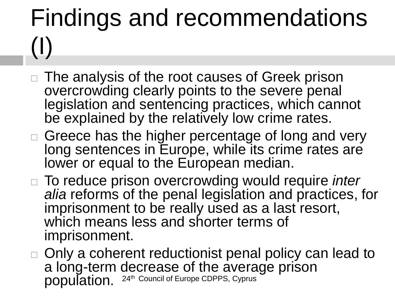# Findings and recommendations (I)

- The analysis of the root causes of Greek prison overcrowding clearly points to the severe penal legislation and sentencing practices, which cannot be explained by the relatively low crime rates.
- $\Box$  Greece has the higher percentage of long and very long sentences in Europe, while its crime rates are lower or equal to the European median.
- To reduce prison overcrowding would require *inter alia* reforms of the penal legislation and practices, for imprisonment to be really used as a last resort, which means less and shorter terms of imprisonment.
- 24<sup>th</sup> Council of Europe CDPPS, Cyprus □ Only a coherent reductionist penal policy can lead to a long-term decrease of the average prison population.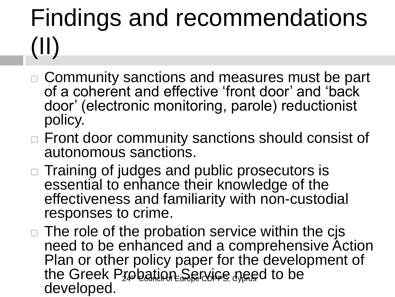# Findings and recommendations (II)

- □ Community sanctions and measures must be part of a coherent and effective 'front door' and 'back door' (electronic monitoring, parole) reductionist policy.
- □ Front door community sanctions should consist of autonomous sanctions.
- $\Box$  Training of judges and public prosecutors is essential to enhance their knowledge of the effectiveness and familiarity with non-custodial responses to crime.
- the Greek Probation Service need to be  $\Box$  The role of the probation service within the cjs need to be enhanced and a comprehensive Action Plan or other policy paper for the development of developed.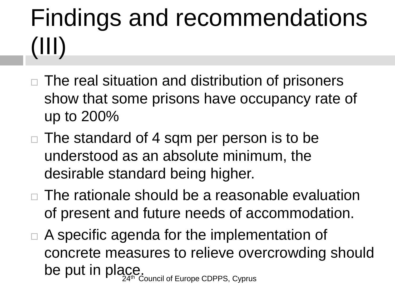# Findings and recommendations (III)

- The real situation and distribution of prisoners show that some prisons have occupancy rate of up to 200%
- $\Box$  The standard of 4 sqm per person is to be understood as an absolute minimum, the desirable standard being higher.
- □ The rationale should be a reasonable evaluation of present and future needs of accommodation.
- **Council of Europe CDPPS, Cyprus**  $\Box$  A specific agenda for the implementation of concrete measures to relieve overcrowding should be put in place.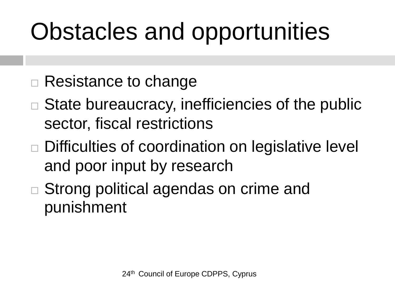## Obstacles and opportunities

- □ Resistance to change
- $\Box$  State bureaucracy, inefficiencies of the public sector, fiscal restrictions
- □ Difficulties of coordination on legislative level and poor input by research
- □ Strong political agendas on crime and punishment